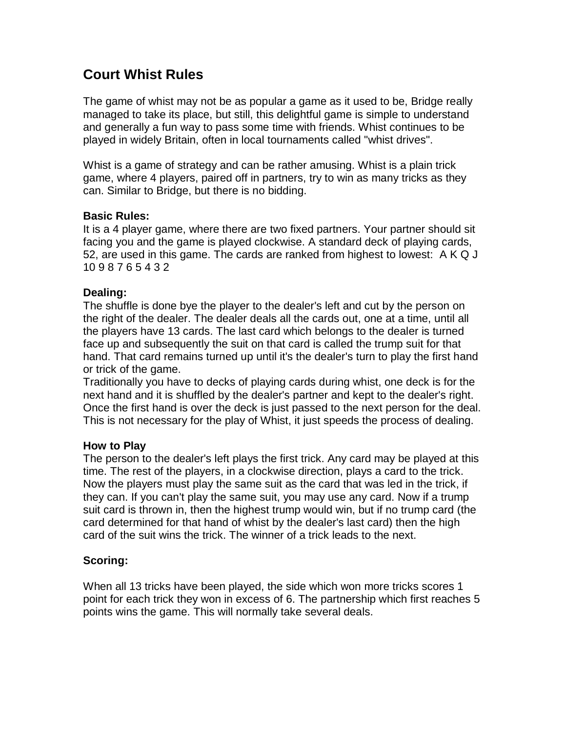# **Court Whist Rules**

The game of whist may not be as popular a game as it used to be, Bridge really managed to take its place, but still, this delightful game is simple to understand and generally a fun way to pass some time with friends. Whist continues to be played in widely Britain, often in local tournaments called "whist drives".

Whist is a game of strategy and can be rather amusing. Whist is a plain trick game, where 4 players, paired off in partners, try to win as many tricks as they can. Similar to Bridge, but there is no bidding.

# **Basic Rules:**

It is a 4 player game, where there are two fixed partners. Your partner should sit facing you and the game is played clockwise. A standard deck of playing cards, 52, are used in this game. The cards are ranked from highest to lowest: A K Q J 10 9 8 7 6 5 4 3 2

# **Dealing:**

The shuffle is done bye the player to the dealer's left and cut by the person on the right of the dealer. The dealer deals all the cards out, one at a time, until all the players have 13 cards. The last card which belongs to the dealer is turned face up and subsequently the suit on that card is called the trump suit for that hand. That card remains turned up until it's the dealer's turn to play the first hand or trick of the game.

Traditionally you have to decks of playing cards during whist, one deck is for the next hand and it is shuffled by the dealer's partner and kept to the dealer's right. Once the first hand is over the deck is just passed to the next person for the deal. This is not necessary for the play of Whist, it just speeds the process of dealing.

# **How to Play**

The person to the dealer's left plays the first trick. Any card may be played at this time. The rest of the players, in a clockwise direction, plays a card to the trick. Now the players must play the same suit as the card that was led in the trick, if they can. If you can't play the same suit, you may use any card. Now if a trump suit card is thrown in, then the highest trump would win, but if no trump card (the card determined for that hand of whist by the dealer's last card) then the high card of the suit wins the trick. The winner of a trick leads to the next.

# **Scoring:**

When all 13 tricks have been played, the side which won more tricks scores 1 point for each trick they won in excess of 6. The partnership which first reaches 5 points wins the game. This will normally take several deals.